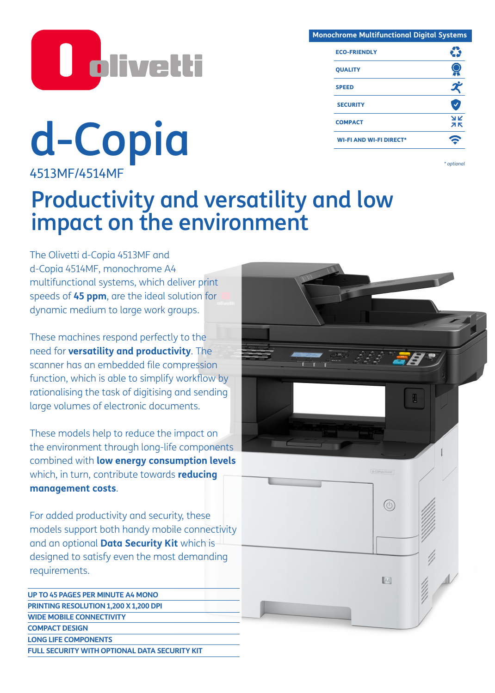

**d-Copid d one of the Context of the Copidal Context of the Copidal Copidal of the Copidal Copidal Copidal Copidal Copidal Copidal Copidal Copidal Copidal Copidal Copidal Copidal Copidal Copidal Copidal Copidal Copidal** 

4513MF/4514MF

| <b>Monochrome Multifunctional Digital Systems</b> |          |
|---------------------------------------------------|----------|
| <b>ECO-FRIENDLY</b>                               |          |
| <b>QUALITY</b>                                    |          |
| <b>SPEED</b>                                      |          |
| <b>SECURITY</b>                                   |          |
| <b>COMPACT</b>                                    | YK<br>ЯΚ |
| <b>WI-FI AND WI-FI DIRECT*</b>                    |          |

# Productivity and versatility and low impact on the environment

The Olivetti d-Copia 4513MF and d-Copia 4514MF, monochrome A4 multifunctional systems, which deliver print speeds of **45 ppm**, are the ideal solution for dynamic medium to large work groups.

These machines respond perfectly to the need for **versatility and productivity**. The scanner has an embedded file compression function, which is able to simplify workflow by rationalising the task of digitising and sending large volumes of electronic documents.

These models help to reduce the impact on the environment through long-life components combined with **low energy consumption levels** which, in turn, contribute towards **reducing management costs**.

For added productivity and security, these models support both handy mobile connectivity and an optional **Data Security Kit** which is designed to satisfy even the most demanding requirements.

**UP TO 45 PAGES PER MINUTE A4 MONO PRINTING RESOLUTION 1,200 X 1,200 DPI WIDE MOBILE CONNECTIVITY COMPACT DESIGN LONG LIFE COMPONENTS FULL SECURITY WITH OPTIONAL DATA SECURITY KIT**